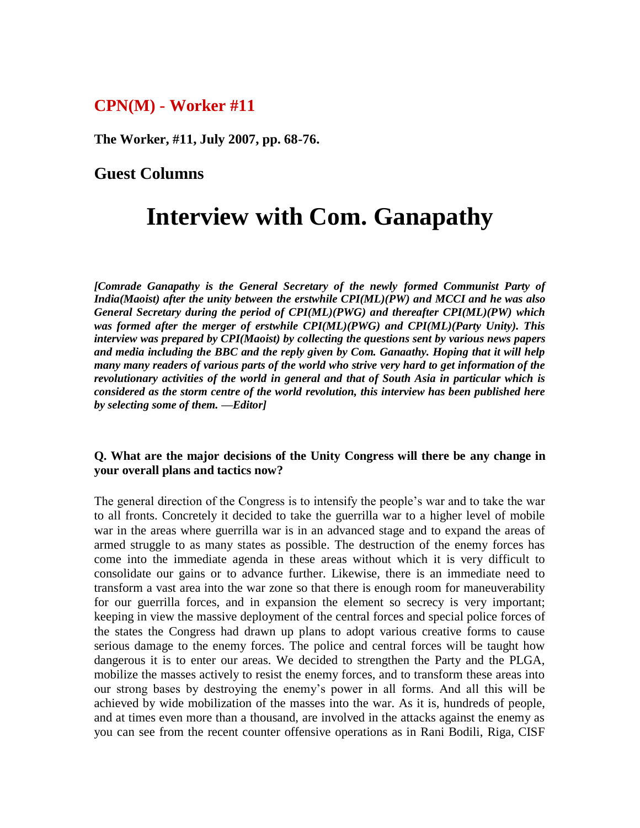# **CPN(M) - Worker #11**

**The Worker, #11, July 2007, pp. 68-76.**

# **Guest Columns**

# **Interview with Com. Ganapathy**

*[Comrade Ganapathy is the General Secretary of the newly formed Communist Party of India(Maoist) after the unity between the erstwhile CPI(ML)(PW) and MCCI and he was also General Secretary during the period of CPI(ML)(PWG) and thereafter CPI(ML)(PW) which was formed after the merger of erstwhile CPI(ML)(PWG) and CPI(ML)(Party Unity). This interview was prepared by CPI(Maoist) by collecting the questions sent by various news papers and media including the BBC and the reply given by Com. Ganaathy. Hoping that it will help many many readers of various parts of the world who strive very hard to get information of the revolutionary activities of the world in general and that of South Asia in particular which is considered as the storm centre of the world revolution, this interview has been published here by selecting some of them. —Editor]*

#### **Q. What are the major decisions of the Unity Congress will there be any change in your overall plans and tactics now?**

The general direction of the Congress is to intensify the people's war and to take the war to all fronts. Concretely it decided to take the guerrilla war to a higher level of mobile war in the areas where guerrilla war is in an advanced stage and to expand the areas of armed struggle to as many states as possible. The destruction of the enemy forces has come into the immediate agenda in these areas without which it is very difficult to consolidate our gains or to advance further. Likewise, there is an immediate need to transform a vast area into the war zone so that there is enough room for maneuverability for our guerrilla forces, and in expansion the element so secrecy is very important; keeping in view the massive deployment of the central forces and special police forces of the states the Congress had drawn up plans to adopt various creative forms to cause serious damage to the enemy forces. The police and central forces will be taught how dangerous it is to enter our areas. We decided to strengthen the Party and the PLGA, mobilize the masses actively to resist the enemy forces, and to transform these areas into our strong bases by destroying the enemy's power in all forms. And all this will be achieved by wide mobilization of the masses into the war. As it is, hundreds of people, and at times even more than a thousand, are involved in the attacks against the enemy as you can see from the recent counter offensive operations as in Rani Bodili, Riga, CISF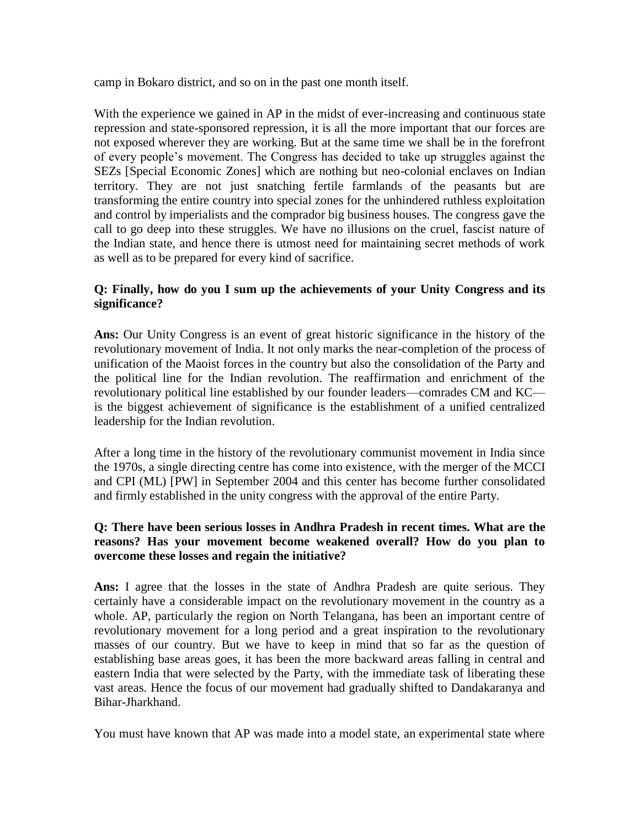camp in Bokaro district, and so on in the past one month itself.

With the experience we gained in AP in the midst of ever-increasing and continuous state repression and state-sponsored repression, it is all the more important that our forces are not exposed wherever they are working. But at the same time we shall be in the forefront of every people's movement. The Congress has decided to take up struggles against the SEZs [Special Economic Zones] which are nothing but neo-colonial enclaves on Indian territory. They are not just snatching fertile farmlands of the peasants but are transforming the entire country into special zones for the unhindered ruthless exploitation and control by imperialists and the comprador big business houses. The congress gave the call to go deep into these struggles. We have no illusions on the cruel, fascist nature of the Indian state, and hence there is utmost need for maintaining secret methods of work as well as to be prepared for every kind of sacrifice.

# **Q: Finally, how do you I sum up the achievements of your Unity Congress and its significance?**

**Ans:** Our Unity Congress is an event of great historic significance in the history of the revolutionary movement of India. It not only marks the near-completion of the process of unification of the Maoist forces in the country but also the consolidation of the Party and the political line for the Indian revolution. The reaffirmation and enrichment of the revolutionary political line established by our founder leaders—comrades CM and KC is the biggest achievement of significance is the establishment of a unified centralized leadership for the Indian revolution.

After a long time in the history of the revolutionary communist movement in India since the 1970s, a single directing centre has come into existence, with the merger of the MCCI and CPI (ML) [PW] in September 2004 and this center has become further consolidated and firmly established in the unity congress with the approval of the entire Party.

# **Q: There have been serious losses in Andhra Pradesh in recent times. What are the reasons? Has your movement become weakened overall? How do you plan to overcome these losses and regain the initiative?**

**Ans:** I agree that the losses in the state of Andhra Pradesh are quite serious. They certainly have a considerable impact on the revolutionary movement in the country as a whole. AP, particularly the region on North Telangana, has been an important centre of revolutionary movement for a long period and a great inspiration to the revolutionary masses of our country. But we have to keep in mind that so far as the question of establishing base areas goes, it has been the more backward areas falling in central and eastern India that were selected by the Party, with the immediate task of liberating these vast areas. Hence the focus of our movement had gradually shifted to Dandakaranya and Bihar-Jharkhand.

You must have known that AP was made into a model state, an experimental state where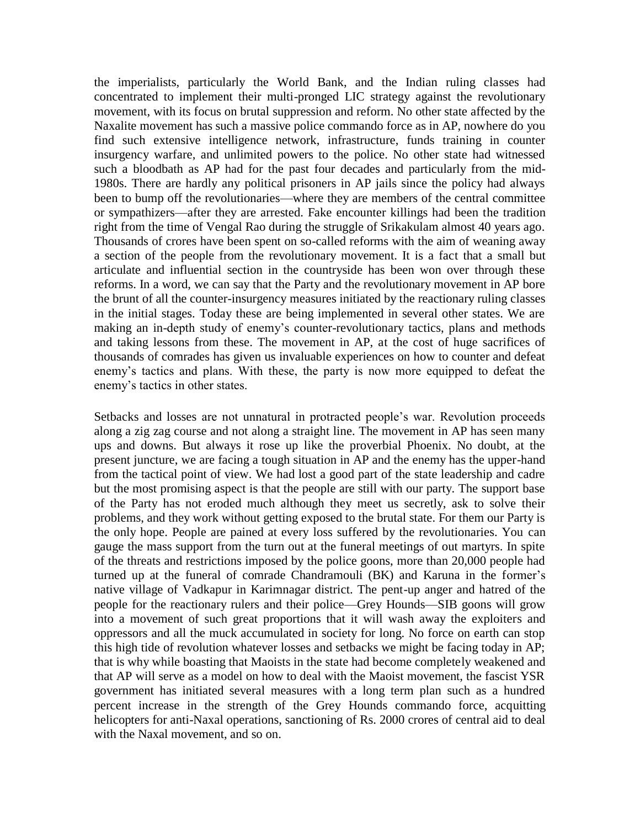the imperialists, particularly the World Bank, and the Indian ruling classes had concentrated to implement their multi-pronged LIC strategy against the revolutionary movement, with its focus on brutal suppression and reform. No other state affected by the Naxalite movement has such a massive police commando force as in AP, nowhere do you find such extensive intelligence network, infrastructure, funds training in counter insurgency warfare, and unlimited powers to the police. No other state had witnessed such a bloodbath as AP had for the past four decades and particularly from the mid-1980s. There are hardly any political prisoners in AP jails since the policy had always been to bump off the revolutionaries—where they are members of the central committee or sympathizers—after they are arrested. Fake encounter killings had been the tradition right from the time of Vengal Rao during the struggle of Srikakulam almost 40 years ago. Thousands of crores have been spent on so-called reforms with the aim of weaning away a section of the people from the revolutionary movement. It is a fact that a small but articulate and influential section in the countryside has been won over through these reforms. In a word, we can say that the Party and the revolutionary movement in AP bore the brunt of all the counter-insurgency measures initiated by the reactionary ruling classes in the initial stages. Today these are being implemented in several other states. We are making an in-depth study of enemy's counter-revolutionary tactics, plans and methods and taking lessons from these. The movement in AP, at the cost of huge sacrifices of thousands of comrades has given us invaluable experiences on how to counter and defeat enemy's tactics and plans. With these, the party is now more equipped to defeat the enemy's tactics in other states.

Setbacks and losses are not unnatural in protracted people's war. Revolution proceeds along a zig zag course and not along a straight line. The movement in AP has seen many ups and downs. But always it rose up like the proverbial Phoenix. No doubt, at the present juncture, we are facing a tough situation in AP and the enemy has the upper-hand from the tactical point of view. We had lost a good part of the state leadership and cadre but the most promising aspect is that the people are still with our party. The support base of the Party has not eroded much although they meet us secretly, ask to solve their problems, and they work without getting exposed to the brutal state. For them our Party is the only hope. People are pained at every loss suffered by the revolutionaries. You can gauge the mass support from the turn out at the funeral meetings of out martyrs. In spite of the threats and restrictions imposed by the police goons, more than 20,000 people had turned up at the funeral of comrade Chandramouli (BK) and Karuna in the former's native village of Vadkapur in Karimnagar district. The pent-up anger and hatred of the people for the reactionary rulers and their police—Grey Hounds—SIB goons will grow into a movement of such great proportions that it will wash away the exploiters and oppressors and all the muck accumulated in society for long. No force on earth can stop this high tide of revolution whatever losses and setbacks we might be facing today in AP; that is why while boasting that Maoists in the state had become completely weakened and that AP will serve as a model on how to deal with the Maoist movement, the fascist YSR government has initiated several measures with a long term plan such as a hundred percent increase in the strength of the Grey Hounds commando force, acquitting helicopters for anti-Naxal operations, sanctioning of Rs. 2000 crores of central aid to deal with the Naxal movement, and so on.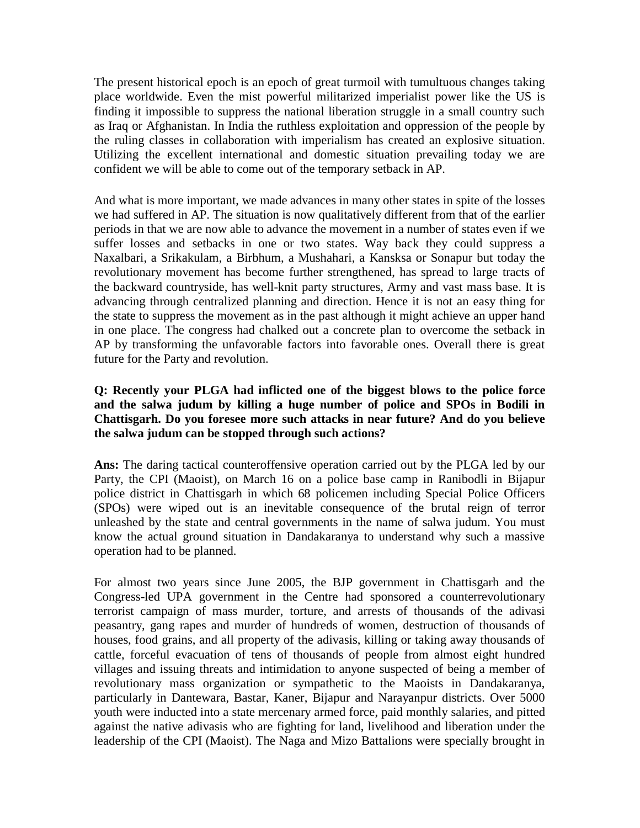The present historical epoch is an epoch of great turmoil with tumultuous changes taking place worldwide. Even the mist powerful militarized imperialist power like the US is finding it impossible to suppress the national liberation struggle in a small country such as Iraq or Afghanistan. In India the ruthless exploitation and oppression of the people by the ruling classes in collaboration with imperialism has created an explosive situation. Utilizing the excellent international and domestic situation prevailing today we are confident we will be able to come out of the temporary setback in AP.

And what is more important, we made advances in many other states in spite of the losses we had suffered in AP. The situation is now qualitatively different from that of the earlier periods in that we are now able to advance the movement in a number of states even if we suffer losses and setbacks in one or two states. Way back they could suppress a Naxalbari, a Srikakulam, a Birbhum, a Mushahari, a Kansksa or Sonapur but today the revolutionary movement has become further strengthened, has spread to large tracts of the backward countryside, has well-knit party structures, Army and vast mass base. It is advancing through centralized planning and direction. Hence it is not an easy thing for the state to suppress the movement as in the past although it might achieve an upper hand in one place. The congress had chalked out a concrete plan to overcome the setback in AP by transforming the unfavorable factors into favorable ones. Overall there is great future for the Party and revolution.

# **Q: Recently your PLGA had inflicted one of the biggest blows to the police force and the salwa judum by killing a huge number of police and SPOs in Bodili in Chattisgarh. Do you foresee more such attacks in near future? And do you believe the salwa judum can be stopped through such actions?**

**Ans:** The daring tactical counteroffensive operation carried out by the PLGA led by our Party, the CPI (Maoist), on March 16 on a police base camp in Ranibodli in Bijapur police district in Chattisgarh in which 68 policemen including Special Police Officers (SPOs) were wiped out is an inevitable consequence of the brutal reign of terror unleashed by the state and central governments in the name of salwa judum. You must know the actual ground situation in Dandakaranya to understand why such a massive operation had to be planned.

For almost two years since June 2005, the BJP government in Chattisgarh and the Congress-led UPA government in the Centre had sponsored a counterrevolutionary terrorist campaign of mass murder, torture, and arrests of thousands of the adivasi peasantry, gang rapes and murder of hundreds of women, destruction of thousands of houses, food grains, and all property of the adivasis, killing or taking away thousands of cattle, forceful evacuation of tens of thousands of people from almost eight hundred villages and issuing threats and intimidation to anyone suspected of being a member of revolutionary mass organization or sympathetic to the Maoists in Dandakaranya, particularly in Dantewara, Bastar, Kaner, Bijapur and Narayanpur districts. Over 5000 youth were inducted into a state mercenary armed force, paid monthly salaries, and pitted against the native adivasis who are fighting for land, livelihood and liberation under the leadership of the CPI (Maoist). The Naga and Mizo Battalions were specially brought in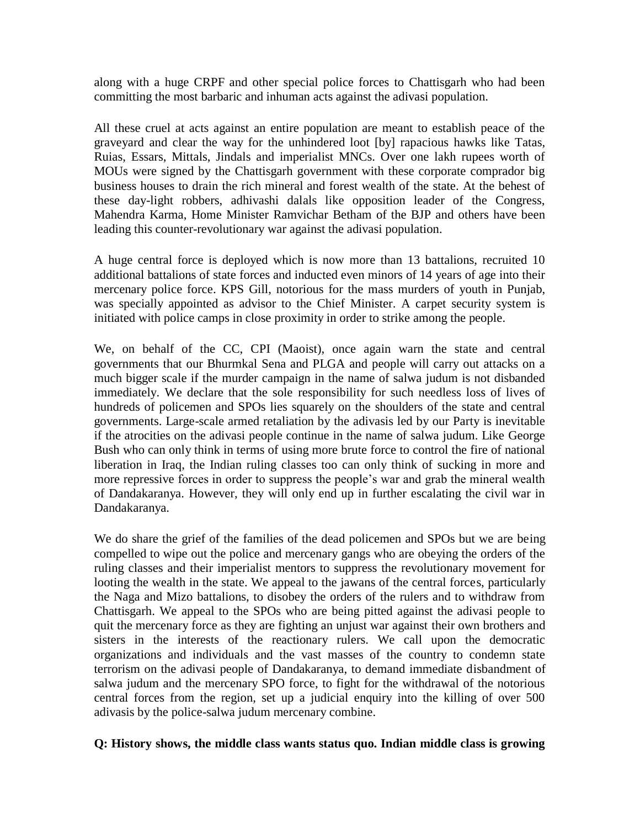along with a huge CRPF and other special police forces to Chattisgarh who had been committing the most barbaric and inhuman acts against the adivasi population.

All these cruel at acts against an entire population are meant to establish peace of the graveyard and clear the way for the unhindered loot [by] rapacious hawks like Tatas, Ruias, Essars, Mittals, Jindals and imperialist MNCs. Over one lakh rupees worth of MOUs were signed by the Chattisgarh government with these corporate comprador big business houses to drain the rich mineral and forest wealth of the state. At the behest of these day-light robbers, adhivashi dalals like opposition leader of the Congress, Mahendra Karma, Home Minister Ramvichar Betham of the BJP and others have been leading this counter-revolutionary war against the adivasi population.

A huge central force is deployed which is now more than 13 battalions, recruited 10 additional battalions of state forces and inducted even minors of 14 years of age into their mercenary police force. KPS Gill, notorious for the mass murders of youth in Punjab, was specially appointed as advisor to the Chief Minister. A carpet security system is initiated with police camps in close proximity in order to strike among the people.

We, on behalf of the CC, CPI (Maoist), once again warn the state and central governments that our Bhurmkal Sena and PLGA and people will carry out attacks on a much bigger scale if the murder campaign in the name of salwa judum is not disbanded immediately. We declare that the sole responsibility for such needless loss of lives of hundreds of policemen and SPOs lies squarely on the shoulders of the state and central governments. Large-scale armed retaliation by the adivasis led by our Party is inevitable if the atrocities on the adivasi people continue in the name of salwa judum. Like George Bush who can only think in terms of using more brute force to control the fire of national liberation in Iraq, the Indian ruling classes too can only think of sucking in more and more repressive forces in order to suppress the people's war and grab the mineral wealth of Dandakaranya. However, they will only end up in further escalating the civil war in Dandakaranya.

We do share the grief of the families of the dead policemen and SPOs but we are being compelled to wipe out the police and mercenary gangs who are obeying the orders of the ruling classes and their imperialist mentors to suppress the revolutionary movement for looting the wealth in the state. We appeal to the jawans of the central forces, particularly the Naga and Mizo battalions, to disobey the orders of the rulers and to withdraw from Chattisgarh. We appeal to the SPOs who are being pitted against the adivasi people to quit the mercenary force as they are fighting an unjust war against their own brothers and sisters in the interests of the reactionary rulers. We call upon the democratic organizations and individuals and the vast masses of the country to condemn state terrorism on the adivasi people of Dandakaranya, to demand immediate disbandment of salwa judum and the mercenary SPO force, to fight for the withdrawal of the notorious central forces from the region, set up a judicial enquiry into the killing of over 500 adivasis by the police-salwa judum mercenary combine.

## **Q: History shows, the middle class wants status quo. Indian middle class is growing**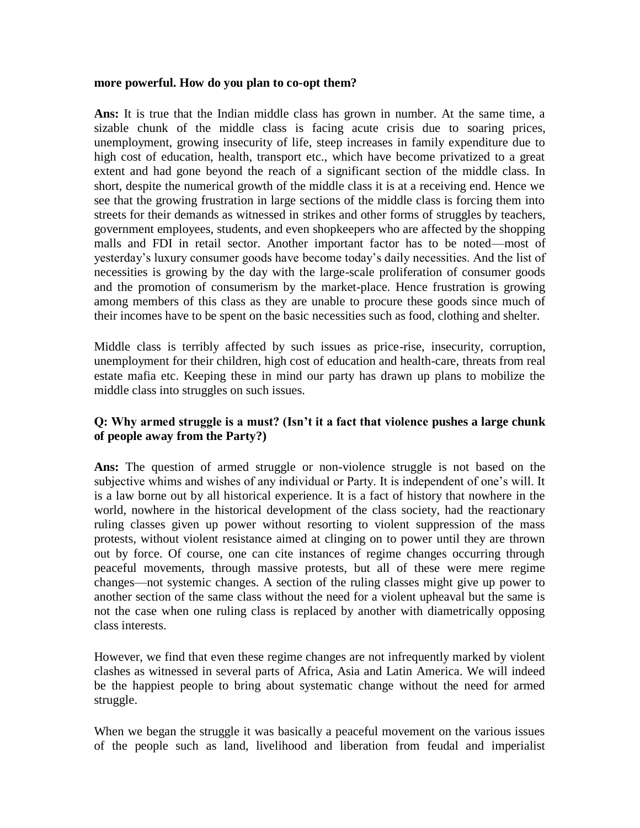#### **more powerful. How do you plan to co-opt them?**

**Ans:** It is true that the Indian middle class has grown in number. At the same time, a sizable chunk of the middle class is facing acute crisis due to soaring prices, unemployment, growing insecurity of life, steep increases in family expenditure due to high cost of education, health, transport etc., which have become privatized to a great extent and had gone beyond the reach of a significant section of the middle class. In short, despite the numerical growth of the middle class it is at a receiving end. Hence we see that the growing frustration in large sections of the middle class is forcing them into streets for their demands as witnessed in strikes and other forms of struggles by teachers, government employees, students, and even shopkeepers who are affected by the shopping malls and FDI in retail sector. Another important factor has to be noted—most of yesterday's luxury consumer goods have become today's daily necessities. And the list of necessities is growing by the day with the large-scale proliferation of consumer goods and the promotion of consumerism by the market-place. Hence frustration is growing among members of this class as they are unable to procure these goods since much of their incomes have to be spent on the basic necessities such as food, clothing and shelter.

Middle class is terribly affected by such issues as price-rise, insecurity, corruption, unemployment for their children, high cost of education and health-care, threats from real estate mafia etc. Keeping these in mind our party has drawn up plans to mobilize the middle class into struggles on such issues.

# **Q: Why armed struggle is a must? (Isn't it a fact that violence pushes a large chunk of people away from the Party?)**

**Ans:** The question of armed struggle or non-violence struggle is not based on the subjective whims and wishes of any individual or Party. It is independent of one's will. It is a law borne out by all historical experience. It is a fact of history that nowhere in the world, nowhere in the historical development of the class society, had the reactionary ruling classes given up power without resorting to violent suppression of the mass protests, without violent resistance aimed at clinging on to power until they are thrown out by force. Of course, one can cite instances of regime changes occurring through peaceful movements, through massive protests, but all of these were mere regime changes—not systemic changes. A section of the ruling classes might give up power to another section of the same class without the need for a violent upheaval but the same is not the case when one ruling class is replaced by another with diametrically opposing class interests.

However, we find that even these regime changes are not infrequently marked by violent clashes as witnessed in several parts of Africa, Asia and Latin America. We will indeed be the happiest people to bring about systematic change without the need for armed struggle.

When we began the struggle it was basically a peaceful movement on the various issues of the people such as land, livelihood and liberation from feudal and imperialist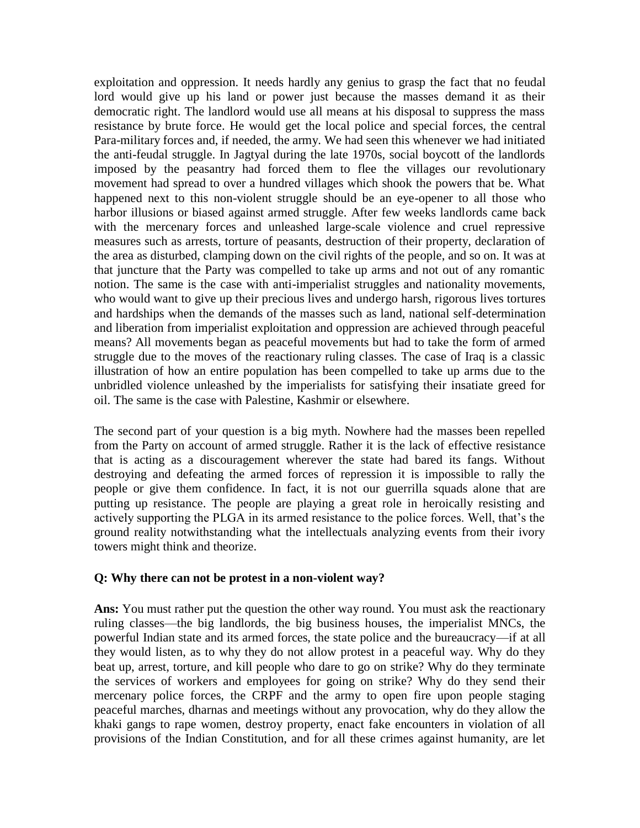exploitation and oppression. It needs hardly any genius to grasp the fact that no feudal lord would give up his land or power just because the masses demand it as their democratic right. The landlord would use all means at his disposal to suppress the mass resistance by brute force. He would get the local police and special forces, the central Para-military forces and, if needed, the army. We had seen this whenever we had initiated the anti-feudal struggle. In Jagtyal during the late 1970s, social boycott of the landlords imposed by the peasantry had forced them to flee the villages our revolutionary movement had spread to over a hundred villages which shook the powers that be. What happened next to this non-violent struggle should be an eye-opener to all those who harbor illusions or biased against armed struggle. After few weeks landlords came back with the mercenary forces and unleashed large-scale violence and cruel repressive measures such as arrests, torture of peasants, destruction of their property, declaration of the area as disturbed, clamping down on the civil rights of the people, and so on. It was at that juncture that the Party was compelled to take up arms and not out of any romantic notion. The same is the case with anti-imperialist struggles and nationality movements, who would want to give up their precious lives and undergo harsh, rigorous lives tortures and hardships when the demands of the masses such as land, national self-determination and liberation from imperialist exploitation and oppression are achieved through peaceful means? All movements began as peaceful movements but had to take the form of armed struggle due to the moves of the reactionary ruling classes. The case of Iraq is a classic illustration of how an entire population has been compelled to take up arms due to the unbridled violence unleashed by the imperialists for satisfying their insatiate greed for oil. The same is the case with Palestine, Kashmir or elsewhere.

The second part of your question is a big myth. Nowhere had the masses been repelled from the Party on account of armed struggle. Rather it is the lack of effective resistance that is acting as a discouragement wherever the state had bared its fangs. Without destroying and defeating the armed forces of repression it is impossible to rally the people or give them confidence. In fact, it is not our guerrilla squads alone that are putting up resistance. The people are playing a great role in heroically resisting and actively supporting the PLGA in its armed resistance to the police forces. Well, that's the ground reality notwithstanding what the intellectuals analyzing events from their ivory towers might think and theorize.

#### **Q: Why there can not be protest in a non-violent way?**

**Ans:** You must rather put the question the other way round. You must ask the reactionary ruling classes—the big landlords, the big business houses, the imperialist MNCs, the powerful Indian state and its armed forces, the state police and the bureaucracy—if at all they would listen, as to why they do not allow protest in a peaceful way. Why do they beat up, arrest, torture, and kill people who dare to go on strike? Why do they terminate the services of workers and employees for going on strike? Why do they send their mercenary police forces, the CRPF and the army to open fire upon people staging peaceful marches, dharnas and meetings without any provocation, why do they allow the khaki gangs to rape women, destroy property, enact fake encounters in violation of all provisions of the Indian Constitution, and for all these crimes against humanity, are let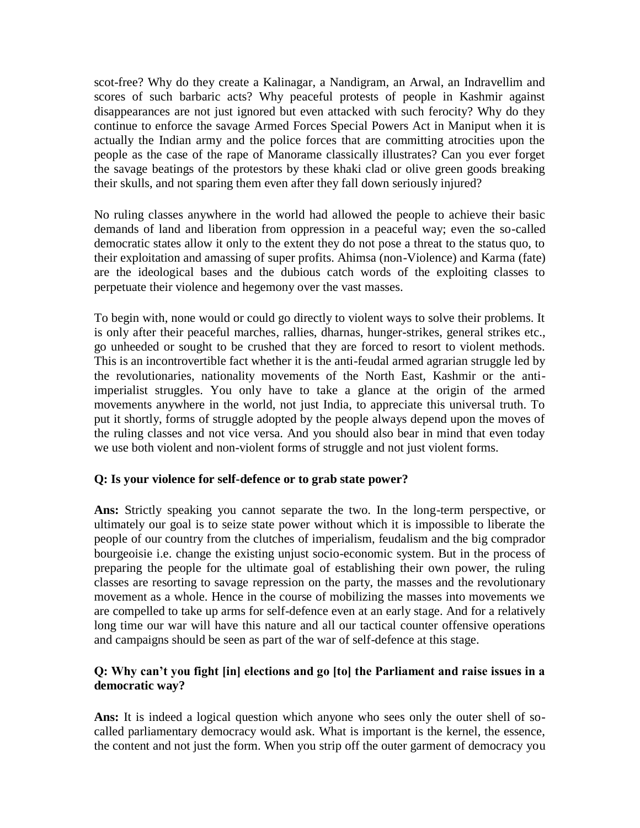scot-free? Why do they create a Kalinagar, a Nandigram, an Arwal, an Indravellim and scores of such barbaric acts? Why peaceful protests of people in Kashmir against disappearances are not just ignored but even attacked with such ferocity? Why do they continue to enforce the savage Armed Forces Special Powers Act in Maniput when it is actually the Indian army and the police forces that are committing atrocities upon the people as the case of the rape of Manorame classically illustrates? Can you ever forget the savage beatings of the protestors by these khaki clad or olive green goods breaking their skulls, and not sparing them even after they fall down seriously injured?

No ruling classes anywhere in the world had allowed the people to achieve their basic demands of land and liberation from oppression in a peaceful way; even the so-called democratic states allow it only to the extent they do not pose a threat to the status quo, to their exploitation and amassing of super profits. Ahimsa (non-Violence) and Karma (fate) are the ideological bases and the dubious catch words of the exploiting classes to perpetuate their violence and hegemony over the vast masses.

To begin with, none would or could go directly to violent ways to solve their problems. It is only after their peaceful marches, rallies, dharnas, hunger-strikes, general strikes etc., go unheeded or sought to be crushed that they are forced to resort to violent methods. This is an incontrovertible fact whether it is the anti-feudal armed agrarian struggle led by the revolutionaries, nationality movements of the North East, Kashmir or the antiimperialist struggles. You only have to take a glance at the origin of the armed movements anywhere in the world, not just India, to appreciate this universal truth. To put it shortly, forms of struggle adopted by the people always depend upon the moves of the ruling classes and not vice versa. And you should also bear in mind that even today we use both violent and non-violent forms of struggle and not just violent forms.

#### **Q: Is your violence for self-defence or to grab state power?**

**Ans:** Strictly speaking you cannot separate the two. In the long-term perspective, or ultimately our goal is to seize state power without which it is impossible to liberate the people of our country from the clutches of imperialism, feudalism and the big comprador bourgeoisie i.e. change the existing unjust socio-economic system. But in the process of preparing the people for the ultimate goal of establishing their own power, the ruling classes are resorting to savage repression on the party, the masses and the revolutionary movement as a whole. Hence in the course of mobilizing the masses into movements we are compelled to take up arms for self-defence even at an early stage. And for a relatively long time our war will have this nature and all our tactical counter offensive operations and campaigns should be seen as part of the war of self-defence at this stage.

# **Q: Why can't you fight [in] elections and go [to] the Parliament and raise issues in a democratic way?**

**Ans:** It is indeed a logical question which anyone who sees only the outer shell of socalled parliamentary democracy would ask. What is important is the kernel, the essence, the content and not just the form. When you strip off the outer garment of democracy you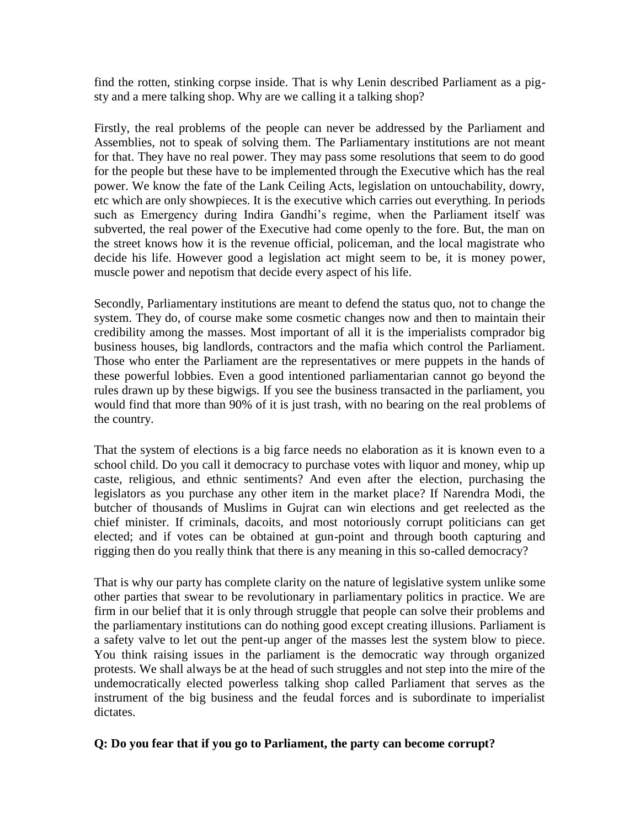find the rotten, stinking corpse inside. That is why Lenin described Parliament as a pigsty and a mere talking shop. Why are we calling it a talking shop?

Firstly, the real problems of the people can never be addressed by the Parliament and Assemblies, not to speak of solving them. The Parliamentary institutions are not meant for that. They have no real power. They may pass some resolutions that seem to do good for the people but these have to be implemented through the Executive which has the real power. We know the fate of the Lank Ceiling Acts, legislation on untouchability, dowry, etc which are only showpieces. It is the executive which carries out everything. In periods such as Emergency during Indira Gandhi's regime, when the Parliament itself was subverted, the real power of the Executive had come openly to the fore. But, the man on the street knows how it is the revenue official, policeman, and the local magistrate who decide his life. However good a legislation act might seem to be, it is money power, muscle power and nepotism that decide every aspect of his life.

Secondly, Parliamentary institutions are meant to defend the status quo, not to change the system. They do, of course make some cosmetic changes now and then to maintain their credibility among the masses. Most important of all it is the imperialists comprador big business houses, big landlords, contractors and the mafia which control the Parliament. Those who enter the Parliament are the representatives or mere puppets in the hands of these powerful lobbies. Even a good intentioned parliamentarian cannot go beyond the rules drawn up by these bigwigs. If you see the business transacted in the parliament, you would find that more than 90% of it is just trash, with no bearing on the real problems of the country.

That the system of elections is a big farce needs no elaboration as it is known even to a school child. Do you call it democracy to purchase votes with liquor and money, whip up caste, religious, and ethnic sentiments? And even after the election, purchasing the legislators as you purchase any other item in the market place? If Narendra Modi, the butcher of thousands of Muslims in Gujrat can win elections and get reelected as the chief minister. If criminals, dacoits, and most notoriously corrupt politicians can get elected; and if votes can be obtained at gun-point and through booth capturing and rigging then do you really think that there is any meaning in this so-called democracy?

That is why our party has complete clarity on the nature of legislative system unlike some other parties that swear to be revolutionary in parliamentary politics in practice. We are firm in our belief that it is only through struggle that people can solve their problems and the parliamentary institutions can do nothing good except creating illusions. Parliament is a safety valve to let out the pent-up anger of the masses lest the system blow to piece. You think raising issues in the parliament is the democratic way through organized protests. We shall always be at the head of such struggles and not step into the mire of the undemocratically elected powerless talking shop called Parliament that serves as the instrument of the big business and the feudal forces and is subordinate to imperialist dictates.

#### **Q: Do you fear that if you go to Parliament, the party can become corrupt?**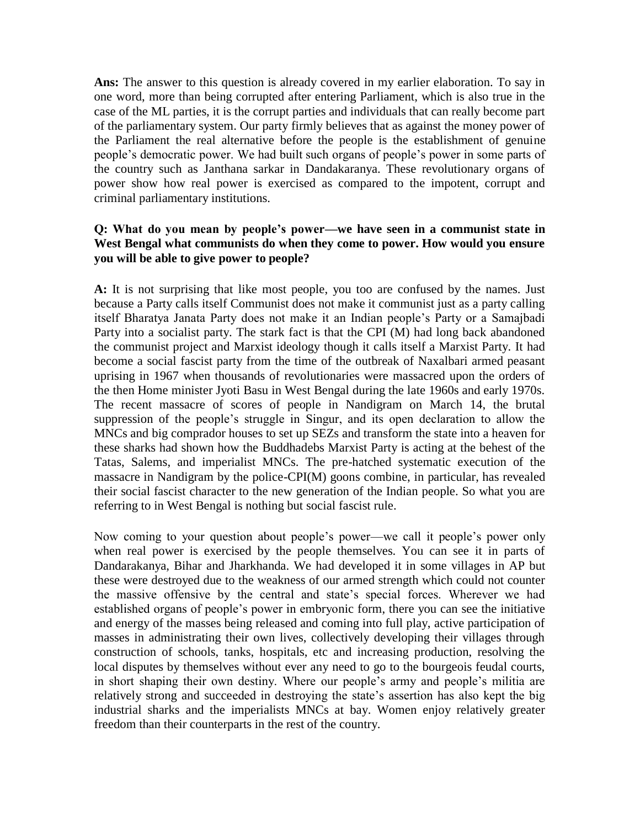**Ans:** The answer to this question is already covered in my earlier elaboration. To say in one word, more than being corrupted after entering Parliament, which is also true in the case of the ML parties, it is the corrupt parties and individuals that can really become part of the parliamentary system. Our party firmly believes that as against the money power of the Parliament the real alternative before the people is the establishment of genuine people's democratic power. We had built such organs of people's power in some parts of the country such as Janthana sarkar in Dandakaranya. These revolutionary organs of power show how real power is exercised as compared to the impotent, corrupt and criminal parliamentary institutions.

#### **Q: What do you mean by people's power—we have seen in a communist state in West Bengal what communists do when they come to power. How would you ensure you will be able to give power to people?**

**A:** It is not surprising that like most people, you too are confused by the names. Just because a Party calls itself Communist does not make it communist just as a party calling itself Bharatya Janata Party does not make it an Indian people's Party or a Samajbadi Party into a socialist party. The stark fact is that the CPI (M) had long back abandoned the communist project and Marxist ideology though it calls itself a Marxist Party. It had become a social fascist party from the time of the outbreak of Naxalbari armed peasant uprising in 1967 when thousands of revolutionaries were massacred upon the orders of the then Home minister Jyoti Basu in West Bengal during the late 1960s and early 1970s. The recent massacre of scores of people in Nandigram on March 14, the brutal suppression of the people's struggle in Singur, and its open declaration to allow the MNCs and big comprador houses to set up SEZs and transform the state into a heaven for these sharks had shown how the Buddhadebs Marxist Party is acting at the behest of the Tatas, Salems, and imperialist MNCs. The pre-hatched systematic execution of the massacre in Nandigram by the police-CPI(M) goons combine, in particular, has revealed their social fascist character to the new generation of the Indian people. So what you are referring to in West Bengal is nothing but social fascist rule.

Now coming to your question about people's power—we call it people's power only when real power is exercised by the people themselves. You can see it in parts of Dandarakanya, Bihar and Jharkhanda. We had developed it in some villages in AP but these were destroyed due to the weakness of our armed strength which could not counter the massive offensive by the central and state's special forces. Wherever we had established organs of people's power in embryonic form, there you can see the initiative and energy of the masses being released and coming into full play, active participation of masses in administrating their own lives, collectively developing their villages through construction of schools, tanks, hospitals, etc and increasing production, resolving the local disputes by themselves without ever any need to go to the bourgeois feudal courts, in short shaping their own destiny. Where our people's army and people's militia are relatively strong and succeeded in destroying the state's assertion has also kept the big industrial sharks and the imperialists MNCs at bay. Women enjoy relatively greater freedom than their counterparts in the rest of the country.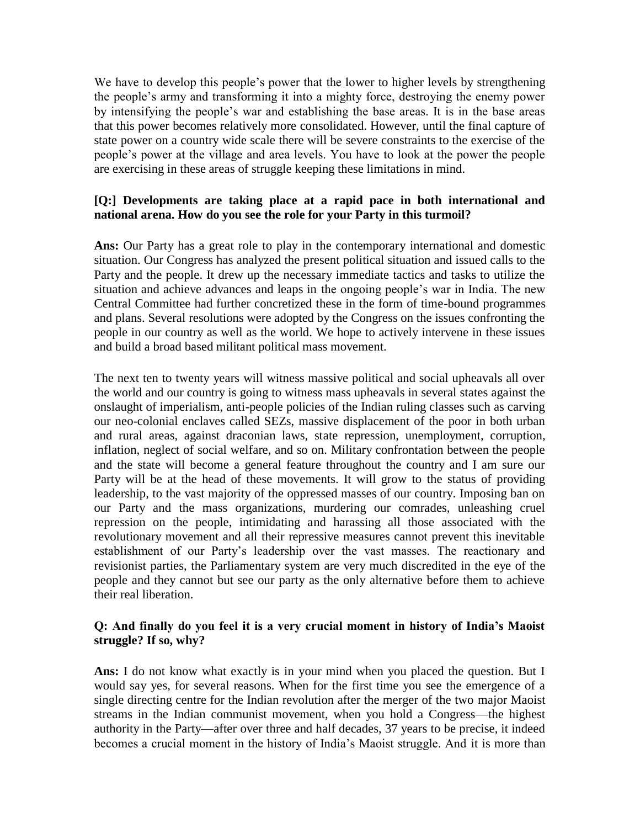We have to develop this people's power that the lower to higher levels by strengthening the people's army and transforming it into a mighty force, destroying the enemy power by intensifying the people's war and establishing the base areas. It is in the base areas that this power becomes relatively more consolidated. However, until the final capture of state power on a country wide scale there will be severe constraints to the exercise of the people's power at the village and area levels. You have to look at the power the people are exercising in these areas of struggle keeping these limitations in mind.

# **[Q:] Developments are taking place at a rapid pace in both international and national arena. How do you see the role for your Party in this turmoil?**

**Ans:** Our Party has a great role to play in the contemporary international and domestic situation. Our Congress has analyzed the present political situation and issued calls to the Party and the people. It drew up the necessary immediate tactics and tasks to utilize the situation and achieve advances and leaps in the ongoing people's war in India. The new Central Committee had further concretized these in the form of time-bound programmes and plans. Several resolutions were adopted by the Congress on the issues confronting the people in our country as well as the world. We hope to actively intervene in these issues and build a broad based militant political mass movement.

The next ten to twenty years will witness massive political and social upheavals all over the world and our country is going to witness mass upheavals in several states against the onslaught of imperialism, anti-people policies of the Indian ruling classes such as carving our neo-colonial enclaves called SEZs, massive displacement of the poor in both urban and rural areas, against draconian laws, state repression, unemployment, corruption, inflation, neglect of social welfare, and so on. Military confrontation between the people and the state will become a general feature throughout the country and I am sure our Party will be at the head of these movements. It will grow to the status of providing leadership, to the vast majority of the oppressed masses of our country. Imposing ban on our Party and the mass organizations, murdering our comrades, unleashing cruel repression on the people, intimidating and harassing all those associated with the revolutionary movement and all their repressive measures cannot prevent this inevitable establishment of our Party's leadership over the vast masses. The reactionary and revisionist parties, the Parliamentary system are very much discredited in the eye of the people and they cannot but see our party as the only alternative before them to achieve their real liberation.

# **Q: And finally do you feel it is a very crucial moment in history of India's Maoist struggle? If so, why?**

**Ans:** I do not know what exactly is in your mind when you placed the question. But I would say yes, for several reasons. When for the first time you see the emergence of a single directing centre for the Indian revolution after the merger of the two major Maoist streams in the Indian communist movement, when you hold a Congress—the highest authority in the Party—after over three and half decades, 37 years to be precise, it indeed becomes a crucial moment in the history of India's Maoist struggle. And it is more than